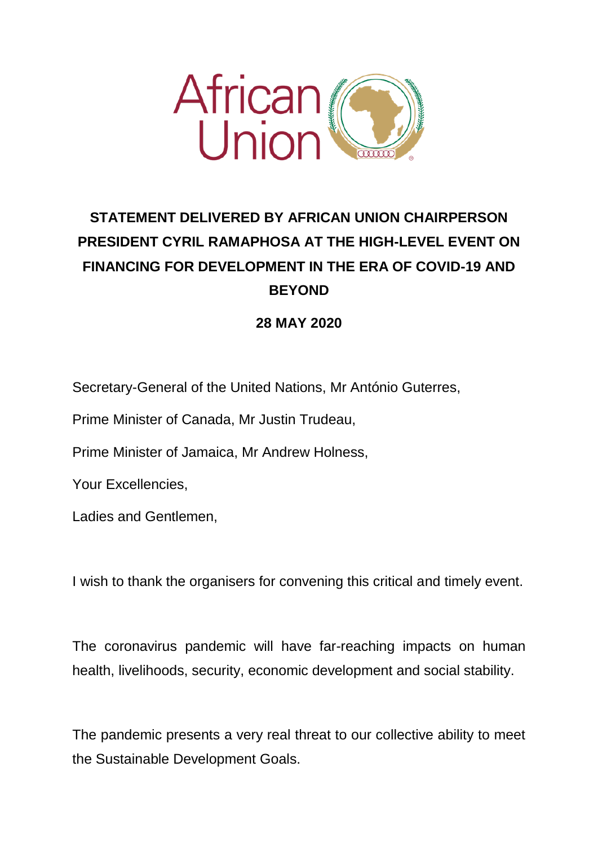

## **STATEMENT DELIVERED BY AFRICAN UNION CHAIRPERSON PRESIDENT CYRIL RAMAPHOSA AT THE HIGH-LEVEL EVENT ON FINANCING FOR DEVELOPMENT IN THE ERA OF COVID-19 AND BEYOND**

## **28 MAY 2020**

Secretary-General of the United Nations, Mr António Guterres,

Prime Minister of Canada, Mr Justin Trudeau,

Prime Minister of Jamaica, Mr Andrew Holness,

Your Excellencies,

Ladies and Gentlemen,

I wish to thank the organisers for convening this critical and timely event.

The coronavirus pandemic will have far-reaching impacts on human health, livelihoods, security, economic development and social stability.

The pandemic presents a very real threat to our collective ability to meet the Sustainable Development Goals.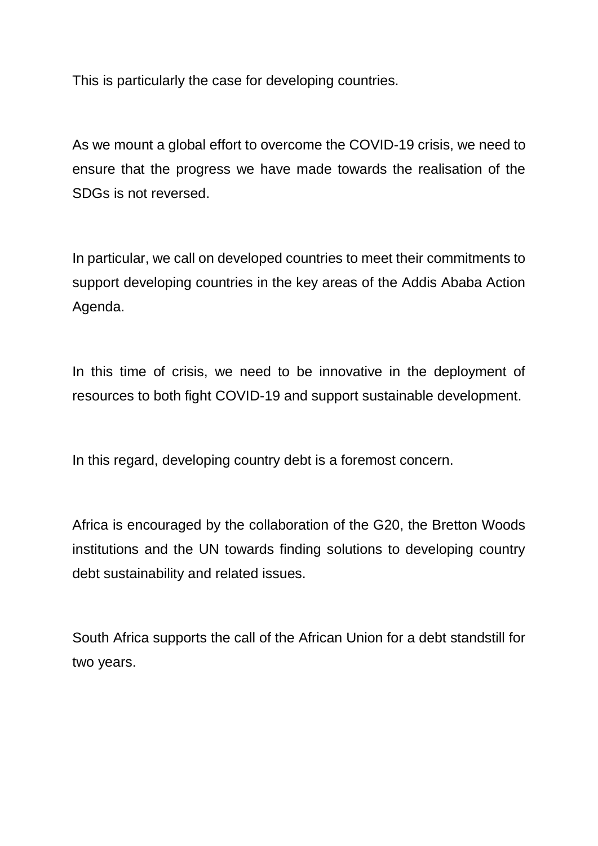This is particularly the case for developing countries.

As we mount a global effort to overcome the COVID-19 crisis, we need to ensure that the progress we have made towards the realisation of the SDGs is not reversed.

In particular, we call on developed countries to meet their commitments to support developing countries in the key areas of the Addis Ababa Action Agenda.

In this time of crisis, we need to be innovative in the deployment of resources to both fight COVID-19 and support sustainable development.

In this regard, developing country debt is a foremost concern.

Africa is encouraged by the collaboration of the G20, the Bretton Woods institutions and the UN towards finding solutions to developing country debt sustainability and related issues.

South Africa supports the call of the African Union for a debt standstill for two years.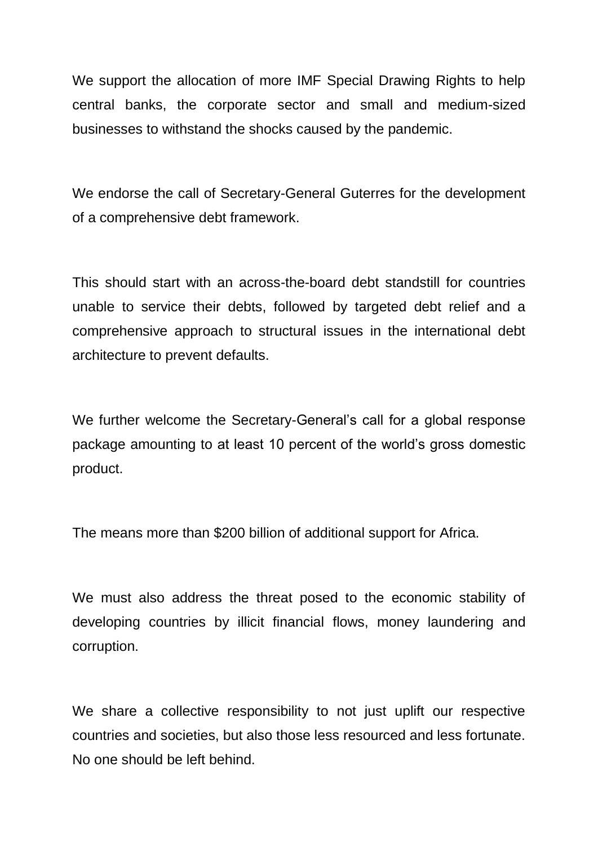We support the allocation of more IMF Special Drawing Rights to help central banks, the corporate sector and small and medium-sized businesses to withstand the shocks caused by the pandemic.

We endorse the call of Secretary-General Guterres for the development of a comprehensive debt framework.

This should start with an across-the-board debt standstill for countries unable to service their debts, followed by targeted debt relief and a comprehensive approach to structural issues in the international debt architecture to prevent defaults.

We further welcome the Secretary-General's call for a global response package amounting to at least 10 percent of the world's gross domestic product.

The means more than \$200 billion of additional support for Africa.

We must also address the threat posed to the economic stability of developing countries by illicit financial flows, money laundering and corruption.

We share a collective responsibility to not just uplift our respective countries and societies, but also those less resourced and less fortunate. No one should be left behind.